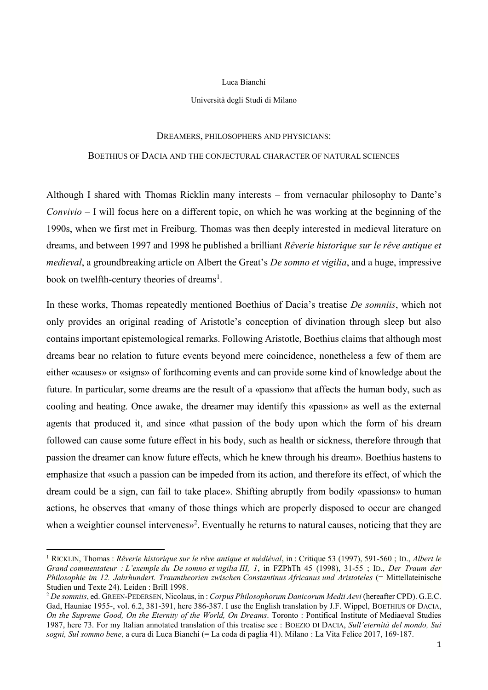## Luca Bianchi

## Università degli Studi di Milano

## DREAMERS, PHILOSOPHERS AND PHYSICIANS:

## BOETHIUS OF DACIA AND THE CONJECTURAL CHARACTER OF NATURAL SCIENCES

Although I shared with Thomas Ricklin many interests – from vernacular philosophy to Dante's *Convivio* – I will focus here on a different topic, on which he was working at the beginning of the 1990s, when we first met in Freiburg. Thomas was then deeply interested in medieval literature on dreams, and between 1997 and 1998 he published a brilliant *Rêverie historique sur le rêve antique et medieval*, a groundbreaking article on Albert the Great's *De somno et vigilia*, and a huge, impressive book on twelfth-century theories of dreams<sup>1</sup>.

In these works, Thomas repeatedly mentioned Boethius of Dacia's treatise *De somniis*, which not only provides an original reading of Aristotle's conception of divination through sleep but also contains important epistemological remarks. Following Aristotle, Boethius claims that although most dreams bear no relation to future events beyond mere coincidence, nonetheless a few of them are either «causes» or «signs» of forthcoming events and can provide some kind of knowledge about the future. In particular, some dreams are the result of a «passion» that affects the human body, such as cooling and heating. Once awake, the dreamer may identify this «passion» as well as the external agents that produced it, and since «that passion of the body upon which the form of his dream followed can cause some future effect in his body, such as health or sickness, therefore through that passion the dreamer can know future effects, which he knew through his dream». Boethius hastens to emphasize that «such a passion can be impeded from its action, and therefore its effect, of which the dream could be a sign, can fail to take place». Shifting abruptly from bodily «passions» to human actions, he observes that «many of those things which are properly disposed to occur are changed when a weightier counsel intervenes»<sup>2</sup>. Eventually he returns to natural causes, noticing that they are

1

<sup>1</sup> RICKLIN, Thomas : *Rêverie historique sur le rêve antique et médiéval*, in : Critique 53 (1997), 591-560 ; ID., *Albert le Grand commentateur : L'exemple du De somno et vigilia III, 1*, in FZPhTh 45 (1998), 31-55 ; ID., *Der Traum der Philosophie im 12. Jahrhundert. Traumtheorien zwischen Constantinus Africanus und Aristoteles* (= Mittellateinische Studien und Texte 24). Leiden : Brill 1998.

<sup>2</sup> *De somniis*, ed. GREEN-PEDERSEN, Nicolaus, in : *Corpus Philosophorum Danicorum Medii Aevi* (hereafter CPD). G.E.C. Gad, Hauniae 1955-, vol. 6.2, 381-391, here 386-387. I use the English translation by J.F. Wippel, BOETHIUS OF DACIA, *On the Supreme Good, On the Eternity of the World, On Dreams*. Toronto : Pontifical Institute of Mediaeval Studies 1987, here 73. For my Italian annotated translation of this treatise see : BOEZIO DI DACIA, *Sull'eternità del mondo, Sui sogni, Sul sommo bene*, a cura di Luca Bianchi (= La coda di paglia 41). Milano : La Vita Felice 2017, 169-187.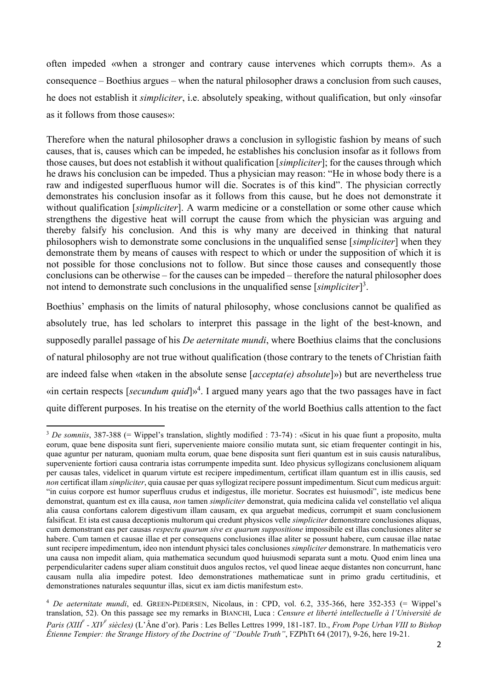often impeded «when a stronger and contrary cause intervenes which corrupts them». As a consequence – Boethius argues – when the natural philosopher draws a conclusion from such causes, he does not establish it *simpliciter*, i.e. absolutely speaking, without qualification, but only «insofar as it follows from those causes»:

Therefore when the natural philosopher draws a conclusion in syllogistic fashion by means of such causes, that is, causes which can be impeded, he establishes his conclusion insofar as it follows from those causes, but does not establish it without qualification [*simpliciter*]; for the causes through which he draws his conclusion can be impeded. Thus a physician may reason: "He in whose body there is a raw and indigested superfluous humor will die. Socrates is of this kind". The physician correctly demonstrates his conclusion insofar as it follows from this cause, but he does not demonstrate it without qualification [*simpliciter*]. A warm medicine or a constellation or some other cause which strengthens the digestive heat will corrupt the cause from which the physician was arguing and thereby falsify his conclusion. And this is why many are deceived in thinking that natural philosophers wish to demonstrate some conclusions in the unqualified sense [*simpliciter*] when they demonstrate them by means of causes with respect to which or under the supposition of which it is not possible for those conclusions not to follow. But since those causes and consequently those conclusions can be otherwise – for the causes can be impeded – therefore the natural philosopher does not intend to demonstrate such conclusions in the unqualified sense [simpliciter]<sup>3</sup>.

Boethius' emphasis on the limits of natural philosophy, whose conclusions cannot be qualified as absolutely true, has led scholars to interpret this passage in the light of the best-known, and supposedly parallel passage of his *De aeternitate mundi*, where Boethius claims that the conclusions of natural philosophy are not true without qualification (those contrary to the tenets of Christian faith are indeed false when «taken in the absolute sense [*accepta(e) absolute*]») but are nevertheless true «in certain respects [*secundum quid*]» 4 . I argued many years ago that the two passages have in fact quite different purposes. In his treatise on the eternity of the world Boethius calls attention to the fact

1

<sup>&</sup>lt;sup>3</sup> *De somniis*, 387-388 (= Wippel's translation, slightly modified : 73-74) : «Sicut in his quae fiunt a proposito, multa eorum, quae bene disposita sunt fieri, superveniente maiore consilio mutata sunt, sic etiam frequenter contingit in his, quae aguntur per naturam, quoniam multa eorum, quae bene disposita sunt fieri quantum est in suis causis naturalibus, superveniente fortiori causa contraria istas corrumpente impedita sunt. Ideo physicus syllogizans conclusionem aliquam per causas tales, videlicet in quarum virtute est recipere impedimentum, certificat illam quantum est in illis causis, sed *non* certificat illam *simpliciter*, quia causae per quas syllogizat recipere possunt impedimentum. Sicut cum medicus arguit: "in cuius corpore est humor superfluus crudus et indigestus, ille morietur. Socrates est huiusmodi", iste medicus bene demonstrat, quantum est ex illa causa, *non* tamen *simpliciter* demonstrat, quia medicina calida vel constellatio vel aliqua alia causa confortans calorem digestivum illam causam, ex qua arguebat medicus, corrumpit et suam conclusionem falsificat. Et ista est causa deceptionis multorum qui credunt physicos velle *simpliciter* demonstrare conclusiones aliquas, cum demonstrant eas per causas *respectu quarum sive ex quarum suppositione* impossibile est illas conclusiones aliter se habere. Cum tamen et causae illae et per consequens conclusiones illae aliter se possunt habere, cum causae illae natae sunt recipere impedimentum, ideo non intendunt physici tales conclusiones *simpliciter* demonstrare. In mathematicis vero una causa non impedit aliam, quia mathematica secundum quod huiusmodi separata sunt a motu. Quod enim linea una perpendiculariter cadens super aliam constituit duos angulos rectos, vel quod lineae aeque distantes non concurrunt, hanc causam nulla alia impedire potest. Ideo demonstrationes mathematicae sunt in primo gradu certitudinis, et demonstrationes naturales sequuntur illas, sicut ex iam dictis manifestum est».

<sup>4</sup> *De aeternitate mundi*, ed. GREEN-PEDERSEN, Nicolaus, in : CPD, vol. 6.2, 335-366, here 352-353 (= Wippel's translation, 52). On this passage see my remarks in BIANCHI, Luca : *Censure et liberté intellectuelle à l'Université de Paris (XIII<sup>e</sup> - XIV<sup>e</sup> siècles)* (L'Âne d'or). Paris : Les Belles Lettres 1999, 181-187. ID., *From Pope Urban VIII to Bishop Étienne Tempier: the Strange History of the Doctrine of "Double Truth"*, FZPhTt 64 (2017), 9-26, here 19-21.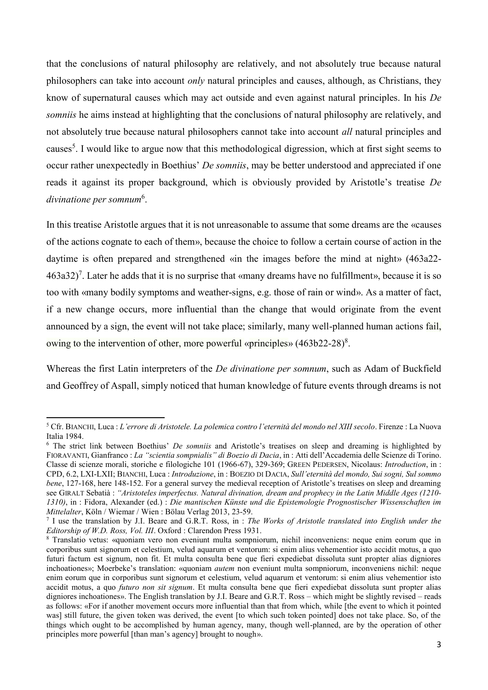that the conclusions of natural philosophy are relatively, and not absolutely true because natural philosophers can take into account *only* natural principles and causes, although, as Christians, they know of supernatural causes which may act outside and even against natural principles. In his *De somniis* he aims instead at highlighting that the conclusions of natural philosophy are relatively, and not absolutely true because natural philosophers cannot take into account *all* natural principles and causes<sup>5</sup>. I would like to argue now that this methodological digression, which at first sight seems to occur rather unexpectedly in Boethius' *De somniis*, may be better understood and appreciated if one reads it against its proper background, which is obviously provided by Aristotle's treatise *De*  divinatione per somnum<sup>6</sup>.

In this treatise Aristotle argues that it is not unreasonable to assume that some dreams are the «causes of the actions cognate to each of them», because the choice to follow a certain course of action in the daytime is often prepared and strengthened «in the images before the mind at night» (463a22-  $463a32$ <sup>7</sup>. Later he adds that it is no surprise that «many dreams have no fulfillment», because it is so too with «many bodily symptoms and weather-signs, e.g. those of rain or wind». As a matter of fact, if a new change occurs, more influential than the change that would originate from the event announced by a sign, the event will not take place; similarly, many well-planned human actions fail, owing to the intervention of other, more powerful «principles»  $(463b22-28)^8$ .

Whereas the first Latin interpreters of the *De divinatione per somnum*, such as Adam of Buckfield and Geoffrey of Aspall, simply noticed that human knowledge of future events through dreams is not

<sup>5</sup> Cfr. BIANCHI, Luca : *L'errore di Aristotele. La polemica contro l'eternità del mondo nel XIII secolo*. Firenze : La Nuova Italia 1984.

<sup>6</sup> The strict link between Boethius' *De somniis* and Aristotle's treatises on sleep and dreaming is highlighted by FIORAVANTI, Gianfranco : *La "scientia sompnialis" di Boezio di Dacia*, in : Atti dell'Accademia delle Scienze di Torino. Classe di scienze morali, storiche e filologiche 101 (1966-67), 329-369; GREEN PEDERSEN, Nicolaus: *Introduction*, in : CPD, 6.2, LXI-LXII; BIANCHI, Luca : *Introduzione*, in : BOEZIO DI DACIA, *Sull'eternità del mondo, Sui sogni, Sul sommo bene*, 127-168, here 148-152. For a general survey the medieval reception of Aristotle's treatises on sleep and dreaming see GIRALT Sebatià : *"Aristoteles imperfectus. Natural divination, dream and prophecy in the Latin Middle Ages (1210- 1310)*, in : Fidora, Alexander (ed.) : *Die mantischen Künste und die Epistemologie Prognostischer Wissenschaften im Mittelalter*, Köln / Wiemar / Wien : Bölau Verlag 2013, 23-59.

<sup>7</sup> I use the translation by J.I. Beare and G.R.T. Ross, in : *The Works of Aristotle translated into English under the Editorship of W.D. Ross, Vol. III*. Oxford : Clarendon Press 1931.

<sup>8</sup> Translatio vetus: «quoniam vero non eveniunt multa sompniorum, nichil inconveniens: neque enim eorum que in corporibus sunt signorum et celestium, velud aquarum et ventorum: si enim alius vehementior isto accidit motus, a quo futuri factum est signum, non fit. Et multa consulta bene que fieri expediebat dissoluta sunt propter alias digniores inchoationes»; Moerbeke's translation: «quoniam *autem* non eveniunt multa sompniorum, inconveniens nichil: neque enim eorum que in corporibus sunt signorum et celestium, velud aquarum et ventorum: si enim alius vehementior isto accidit motus, a quo *futuro non sit signum*. Et multa consulta bene que fieri expediebat dissoluta sunt propter alias digniores inchoationes». The English translation by J.I. Beare and G.R.T. Ross – which might be slightly revised – reads as follows: «For if another movement occurs more influential than that from which, while [the event to which it pointed was] still future, the given token was derived, the event [to which such token pointed] does not take place. So, of the things which ought to be accomplished by human agency, many, though well-planned, are by the operation of other principles more powerful [than man's agency] brought to nough».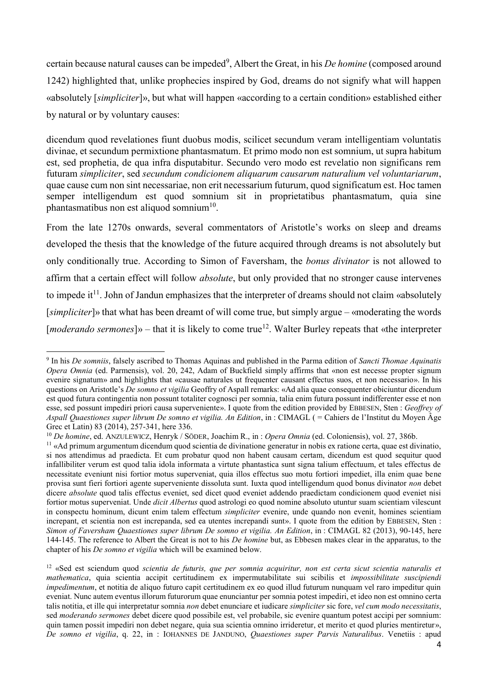certain because natural causes can be impeded<sup>9</sup>, Albert the Great, in his *De homine* (composed around 1242) highlighted that, unlike prophecies inspired by God, dreams do not signify what will happen «absolutely [*simpliciter*]», but what will happen «according to a certain condition» established either by natural or by voluntary causes:

dicendum quod revelationes fiunt duobus modis, scilicet secundum veram intelligentiam voluntatis divinae, et secundum permixtione phantasmatum. Et primo modo non est somnium, ut supra habitum est, sed prophetia, de qua infra disputabitur. Secundo vero modo est revelatio non significans rem futuram *simpliciter*, sed *secundum condicionem aliquarum causarum naturalium vel voluntariarum*, quae cause cum non sint necessariae, non erit necessarium futurum, quod significatum est. Hoc tamen semper intelligendum est quod somnium sit in proprietatibus phantasmatum, quia sine phantasmatibus non est aliquod somnium<sup>10</sup>.

From the late 1270s onwards, several commentators of Aristotle's works on sleep and dreams developed the thesis that the knowledge of the future acquired through dreams is not absolutely but only conditionally true. According to Simon of Faversham, the *bonus divinator* is not allowed to affirm that a certain effect will follow *absolute*, but only provided that no stronger cause intervenes to impede it<sup>11</sup>. John of Jandun emphasizes that the interpreter of dreams should not claim «absolutely [*simpliciter*]» that what has been dreamt of will come true, but simply argue – «moderating the words [*moderando sermones*]» – that it is likely to come true<sup>12</sup>. Walter Burley repeats that «the interpreter

<sup>9</sup> In his *De somniis*, falsely ascribed to Thomas Aquinas and published in the Parma edition of *Sancti Thomae Aquinatis Opera Omnia* (ed. Parmensis), vol. 20, 242, Adam of Buckfield simply affirms that «non est necesse propter signum evenire signatum» and highlights that «causae naturales ut frequenter causant effectus suos, et non necessario». In his questions on Aristotle's *De somno et vigilia* Geoffry of Aspall remarks: «Ad alia quae consequenter obiciuntur dicendum est quod futura contingentia non possunt totaliter cognosci per somnia, talia enim futura possunt indifferenter esse et non esse, sed possunt impediri priori causa superveniente». I quote from the edition provided by EBBESEN, Sten : *Geoffrey of Aspall Quaestiones super librum De somno et vigilia. An Edition*, in : CIMAGL ( = Cahiers de l'Institut du Moyen Âge Grec et Latin) 83 (2014), 257-341, here 336.

<sup>10</sup> *De homine*, ed. ANZULEWICZ, Henryk / SÖDER, Joachim R., in : *Opera Omnia* (ed. Coloniensis), vol. 27, 386b.

<sup>&</sup>lt;sup>11</sup> «Ad primum argumentum dicendum quod scientia de divinatione generatur in nobis ex ratione certa, quae est divinatio, si nos attendimus ad praedicta. Et cum probatur quod non habent causam certam, dicendum est quod sequitur quod infallibiliter verum est quod talia idola informata a virtute phantastica sunt signa talium effectuum, et tales effectus de necessitate eveniunt nisi fortior motus superveniat, quia illos effectus suo motu fortiori impediet, illa enim quae bene provisa sunt fieri fortiori agente superveniente dissoluta sunt. Iuxta quod intelligendum quod bonus divinator *non* debet dicere *absolute* quod talis effectus eveniet, sed dicet quod eveniet addendo praedictam condicionem quod eveniet nisi fortior motus superveniat. Unde *dicit Albertus* quod astrologi eo quod nomine absoluto utuntur suam scientiam vilescunt in conspectu hominum, dicunt enim talem effectum *simpliciter* evenire, unde quando non evenit, homines scientiam increpant, et scientia non est increpanda, sed ea utentes increpandi sunt». I quote from the edition by EBBESEN, Sten : *Simon of Faversham Quaestiones super librum De somno et vigilia. An Edition*, in : CIMAGL 82 (2013), 90-145, here 144-145. The reference to Albert the Great is not to his *De homine* but, as Ebbesen makes clear in the apparatus, to the chapter of his *De somno et vigilia* which will be examined below.

<sup>12</sup> «Sed est sciendum quod *scientia de futuris, que per somnia acquiritur, non est certa sicut scientia naturalis et mathematica*, quia scientia accipit certitudinem ex impermutabilitate sui scibilis et *impossibilitate suscipiendi impedimentum*, et notitia de aliquo futuro capit certitudinem ex eo quod illud futurum nunquam vel raro impeditur quin eveniat. Nunc autem eventus illorum futurorum quae enunciantur per somnia potest impediri, et ideo non est omnino certa talis notitia, et ille qui interpretatur somnia *non* debet enunciare et iudicare *simpliciter* sic fore, *vel cum modo necessitatis*, sed *moderando sermones* debet dicere quod possibile est, vel probabile, sic evenire quantum potest accipi per somnium: quin tamen possit impediri non debet negare, quia sua scientia omnino irrideretur, et merito et quod pluries mentiretur», *De somno et vigilia*, q. 22, in : IOHANNES DE JANDUNO, *Quaestiones super Parvis Naturalibus*. Venetiis : apud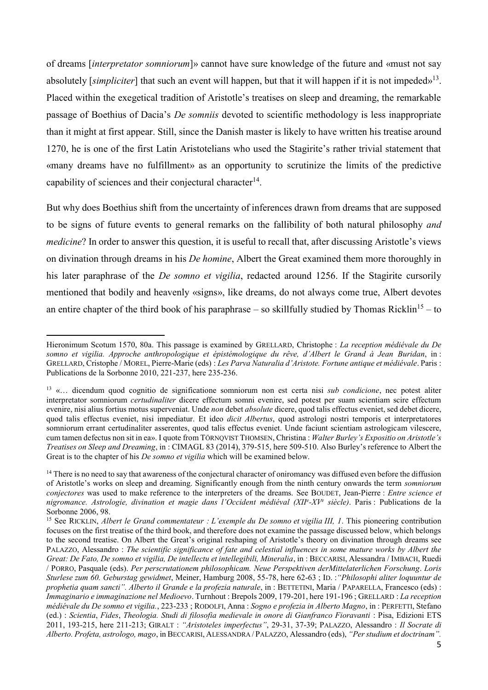of dreams [*interpretator somniorum*]» cannot have sure knowledge of the future and «must not say absolutely [simpliciter] that such an event will happen, but that it will happen if it is not impeded»<sup>13</sup>. Placed within the exegetical tradition of Aristotle's treatises on sleep and dreaming, the remarkable passage of Boethius of Dacia's *De somniis* devoted to scientific methodology is less inappropriate than it might at first appear. Still, since the Danish master is likely to have written his treatise around 1270, he is one of the first Latin Aristotelians who used the Stagirite's rather trivial statement that «many dreams have no fulfillment» as an opportunity to scrutinize the limits of the predictive capability of sciences and their conjectural character<sup>14</sup>.

But why does Boethius shift from the uncertainty of inferences drawn from dreams that are supposed to be signs of future events to general remarks on the fallibility of both natural philosophy *and medicine*? In order to answer this question, it is useful to recall that, after discussing Aristotle's views on divination through dreams in his *De homine*, Albert the Great examined them more thoroughly in his later paraphrase of the *De somno et vigilia*, redacted around 1256. If the Stagirite cursorily mentioned that bodily and heavenly «signs», like dreams, do not always come true, Albert devotes an entire chapter of the third book of his paraphrase – so skillfully studied by Thomas Ricklin<sup>15</sup> – to

Hieronimum Scotum 1570, 80a. This passage is examined by GRELLARD, Christophe : *La reception médiévale du De somno et vigilia. Approche anthropologique et épistémologique du rêve, d'Albert le Grand à Jean Buridan*, in : GRELLARD, Cristophe / MOREL, Pierre-Marie (eds) : *Les Parva Naturalia d'Aristote. Fortune antique et médiévale*. Paris : Publications de la Sorbonne 2010, 221-237, here 235-236.

<sup>13</sup> «… dicendum quod cognitio de significatione somniorum non est certa nisi *sub condicione*, nec potest aliter interpretator somniorum *certudinaliter* dicere effectum somni evenire, sed potest per suam scientiam scire effectum evenire, nisi alius fortius motus superveniat. Unde *non* debet *absolute* dicere, quod talis effectus eveniet, sed debet dicere, quod talis effectus eveniet, nisi impediatur. Et ideo *dicit Albertus*, quod astrologi nostri temporis et interpretatores somniorum errant certudinaliter asserentes, quod talis effectus eveniet. Unde faciunt scientiam astrologicam vilescere, cum tamen defectus non sit in ea». I quote from TÖRNQVIST THOMSEN, Christina : *Walter Burley's Expositio on Aristotle's Treatises on Sleep and Dreaming*, in : CIMAGL 83 (2014), 379-515, here 509-510. Also Burley's reference to Albert the Great is to the chapter of his *De somno et vigilia* which will be examined below.

<sup>&</sup>lt;sup>14</sup> There is no need to say that awareness of the conjectural character of oniromancy was diffused even before the diffusion of Aristotle's works on sleep and dreaming. Significantly enough from the ninth century onwards the term *somniorum conjectores* was used to make reference to the interpreters of the dreams. See BOUDET, Jean-Pierre : *Entre science et nigromance. Astrologie, divination et magie dans l'Occident médiéval (XII<sup>e</sup> -XV<sup>e</sup> siècle)*. Paris : Publications de la Sorbonne 2006, 98.

<sup>15</sup> See RICKLIN, *Albert le Grand commentateur : L'exemple du De somno et vigilia III, 1*. This pioneering contribution focuses on the first treatise of the third book, and therefore does not examine the passage discussed below, which belongs to the second treatise. On Albert the Great's original reshaping of Aristotle's theory on divination through dreams see PALAZZO, Alessandro : *The scientific significance of fate and celestial influences in some mature works by Albert the Great: De Fato, De somno et vigilia, De intellectu et intellegibili, Mineralia*, in : BECCARISI, Alessandra / IMBACH, Ruedi / PORRO, Pasquale (eds). *Per perscrutationem philosophicam. Neue Perspektiven derMittelaterlichen Forschung*. *Loris Sturlese zum 60. Geburstag gewidmet*, Meiner, Hamburg 2008, 55-78, here 62-63 ; ID. :*"Philosophi aliter loquuntur de prophetia quam sancti". Alberto il Grande e la profezia naturale*, in : BETTETINI, Maria / PAPARELLA, Francesco (eds) : *Immaginario e immaginazione nel Medioevo*. Turnhout : Brepols 2009, 179-201, here 191-196 ; GRELLARD : *La reception médiévale du De somno et vigilia.*, 223-233 ; RODOLFI, Anna : *Sogno e profezia in Alberto Magno*, in : PERFETTI, Stefano (ed.) : *Scientia*, *Fides*, *Theologia. Studi di filosofia medievale in onore di Gianfranco Fioravanti* : Pisa, Edizioni ETS 2011, 193-215, here 211-213; GIRALT : *"Aristoteles imperfectus"*, 29-31, 37-39; PALAZZO, Alessandro : *Il Socrate di Alberto. Profeta, astrologo, mago*, in BECCARISI, ALESSANDRA / PALAZZO, Alessandro (eds), *"Per studium et doctrinam".*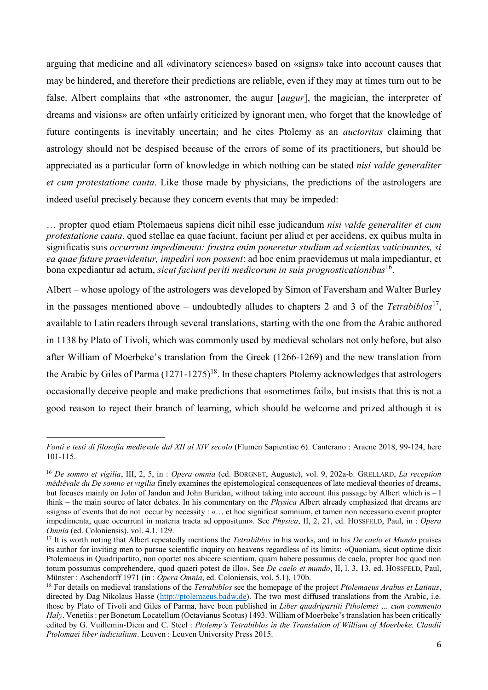arguing that medicine and all «divinatory sciences» based on «signs» take into account causes that may be hindered, and therefore their predictions are reliable, even if they may at times turn out to be false. Albert complains that «the astronomer, the augur [*augur*], the magician, the interpreter of dreams and visions» are often unfairly criticized by ignorant men, who forget that the knowledge of future contingents is inevitably uncertain; and he cites Ptolemy as an *auctoritas* claiming that astrology should not be despised because of the errors of some of its practitioners, but should be appreciated as a particular form of knowledge in which nothing can be stated *nisi valde generaliter et cum protestatione cauta*. Like those made by physicians, the predictions of the astrologers are indeed useful precisely because they concern events that may be impeded:

… propter quod etiam Ptolemaeus sapiens dicit nihil esse judicandum *nisi valde generaliter et cum protestatione cauta*, quod stellae ea quae faciunt, faciunt per aliud et per accidens, ex quibus multa in significatis suis *occurrunt impedimenta: frustra enim poneretur studium ad scientias vaticinantes, si ea quae future praevidentur, impediri non possent*: ad hoc enim praevidemus ut mala impediantur, et bona expediantur ad actum, *sicut faciunt periti medicorum in suis prognosticationibus*<sup>16</sup> .

Albert – whose apology of the astrologers was developed by Simon of Faversham and Walter Burley in the passages mentioned above – undoubtedly alludes to chapters 2 and 3 of the *Tetrabiblos*<sup>17</sup>, available to Latin readers through several translations, starting with the one from the Arabic authored in 1138 by Plato of Tivoli, which was commonly used by medieval scholars not only before, but also after William of Moerbeke's translation from the Greek (1266-1269) and the new translation from the Arabic by Giles of Parma  $(1271-1275)^{18}$ . In these chapters Ptolemy acknowledges that astrologers occasionally deceive people and make predictions that «sometimes fail», but insists that this is not a good reason to reject their branch of learning, which should be welcome and prized although it is

*Fonti e testi di filosofia medievale dal XII al XIV secolo* (Flumen Sapientiae 6). Canterano : Aracne 2018, 99-124, here 101-115.

<sup>16</sup> *De somno et vigilia*, III, 2, 5, in : *Opera omnia* (ed. BORGNET, Auguste), vol. 9, 202a-b. GRELLARD, *La reception médiévale du De somno et vigilia* finely examines the epistemological consequences of late medieval theories of dreams, but focuses mainly on John of Jandun and John Buridan, without taking into account this passage by Albert which is – I think – the main source of later debates. In his commentary on the *Physica* Albert already emphasized that dreams are «signs» of events that do not occur by necessity : «… et hoc significat somnium, et tamen non necessario evenit propter impedimenta, quae occurrunt in materia tracta ad oppositum». See *Physica*, II, 2, 21, ed. HOSSFELD, Paul, in : *Opera Omnia* (ed. Coloniensis), vol. 4.1, 129.

<sup>17</sup> It is worth noting that Albert repeatedly mentions the *Tetrabiblos* in his works, and in his *De caelo et Mundo* praises its author for inviting men to pursue scientific inquiry on heavens regardless of its limits: «Quoniam, sicut optime dixit Ptolemaeus in Quadripartito, non oportet nos abicere scientiam, quam habere possumus de caelo, propter hoc quod non totum possumus comprehendere, quod quaeri potest de illo». See *De caelo et mundo*, II, l. 3, 13, ed. HOSSFELD, Paul, Münster : Aschendorff 1971 (in : *Opera Omnia*, ed. Coloniensis, vol. 5.1), 170b.

<sup>18</sup> For details on medieval translations of the *Tetrabiblos* see the homepage of the project *Ptolemaeus Arabus et Latinus*, directed by Dag Nikolaus Hasse [\(http://ptolemaeus.badw.de\)](http://ptolemaeus.badw.de/). The two most diffused translations from the Arabic, i.e. those by Plato of Tivoli and Giles of Parma, have been published in *Liber quadripartiti Ptholemei … cum commento Haly*. Venetiis: per Bonetum Locatellum (Octavianus Scotus) 1493. William of Moerbeke's translation has been critically edited by G. Vuillemin-Diem and C. Steel : *Ptolemy's Tetrabiblos in the Translation of William of Moerbeke. Claudii Ptolomaei liber iudicialium*. Leuven : Leuven University Press 2015.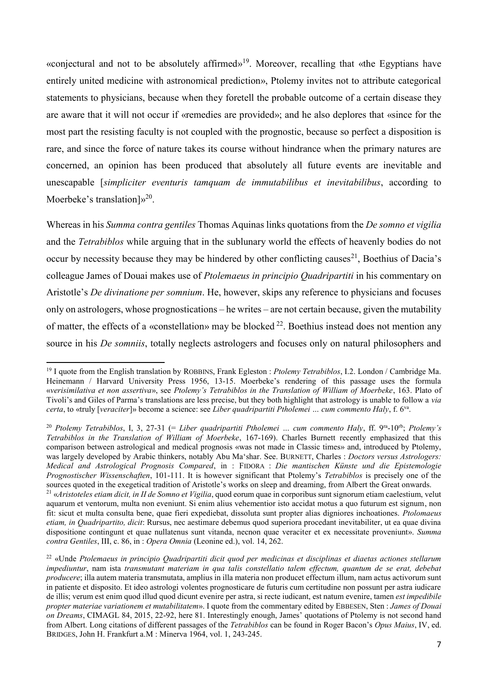«conjectural and not to be absolutely affirmed» <sup>19</sup>. Moreover, recalling that «the Egyptians have entirely united medicine with astronomical prediction», Ptolemy invites not to attribute categorical statements to physicians, because when they foretell the probable outcome of a certain disease they are aware that it will not occur if «remedies are provided»; and he also deplores that «since for the most part the resisting faculty is not coupled with the prognostic, because so perfect a disposition is rare, and since the force of nature takes its course without hindrance when the primary natures are concerned, an opinion has been produced that absolutely all future events are inevitable and unescapable [*simpliciter eventuris tamquam de immutabilibus et inevitabilibus*, according to Moerbeke's translation] $v^{20}$ .

Whereas in his *Summa contra gentiles* Thomas Aquinas links quotations from the *De somno et vigilia* and the *Tetrabiblos* while arguing that in the sublunary world the effects of heavenly bodies do not occur by necessity because they may be hindered by other conflicting causes<sup>21</sup>, Boethius of Dacia's colleague James of Douai makes use of *Ptolemaeus in principio Quadripartiti* in his commentary on Aristotle's *De divinatione per somnium*. He, however, skips any reference to physicians and focuses only on astrologers, whose prognostications – he writes – are not certain because, given the mutability of matter, the effects of a «constellation» may be blocked <sup>22</sup>. Boethius instead does not mention any source in his *De somniis*, totally neglects astrologers and focuses only on natural philosophers and

<sup>19</sup> I quote from the English translation by ROBBINS, Frank Egleston : *Ptolemy Tetrabiblos*, I.2. London / Cambridge Ma. Heinemann / Harvard University Press 1956, 13-15. Moerbeke's rendering of this passage uses the formula «*verisimilativa et non assertiva*», see *Ptolemy's Tetrabiblos in the Translation of William of Moerbeke*, 163. Plato of Tivoli's and Giles of Parma's translations are less precise, but they both highlight that astrology is unable to follow a *via certa*, to «truly [*veraciter*]» become a science: see *Liber quadripartiti Ptholemei … cum commento Haly*, f. 6va .

<sup>&</sup>lt;sup>20</sup> Ptolemy Tetrabiblos, I, 3, 27-31 (= *Liber quadripartiti Ptholemei ... cum commento Haly*, ff. 9<sup>ra</sup>-10<sup>rb</sup>; *Ptolemy's Tetrabiblos in the Translation of William of Moerbeke*, 167-169). Charles Burnett recently emphasized that this comparison between astrological and medical prognosis «was not made in Classic times» and, introduced by Ptolemy, was largely developed by Arabic thinkers, notably Abu Ma'shar. See. BURNETT, Charles : *Doctors versus Astrologers: Medical and Astrological Prognosis Compared*, in : FIDORA : *Die mantischen Künste und die Epistemologie Prognostischer Wissenschaften*, 101-111. It is however significant that Ptolemy's *Tetrabiblos* is precisely one of the sources quoted in the exegetical tradition of Aristotle's works on sleep and dreaming, from Albert the Great onwards. <sup>21</sup> «*Aristoteles etiam dicit, in II de Somno et Vigilia*, quod eorum quae in corporibus sunt signorum etiam caelestium, velut aquarum et ventorum, multa non eveniunt. Si enim alius vehementior isto accidat motus a quo futurum est signum, non fit: sicut et multa consulta bene, quae fieri expediebat, dissoluta sunt propter alias digniores inchoationes. *Ptolomaeus* 

*etiam, in Quadripartito, dicit*: Rursus, nec aestimare debemus quod superiora procedant inevitabiliter, ut ea quae divina dispositione contingunt et quae nullatenus sunt vitanda, necnon quae veraciter et ex necessitate proveniunt». *Summa contra Gentiles*, III, c. 86, in : *Opera Omnia* (Leonine ed.), vol. 14, 262. <sup>22</sup> «Unde *Ptolemaeus in principio Quadripartiti dicit quod per medicinas et disciplinas et diaetas actiones stellarum* 

*impediuntur*, nam ista *transmutant materiam in qua talis constellatio talem effectum, quantum de se erat, debebat producere*; illa autem materia transmutata, amplius in illa materia non producet effectum illum, nam actus activorum sunt in patiente et disposito. Et ideo astrologi volentes prognosticare de futuris cum certitudine non possunt per astra iudicare de illis; verum est enim quod illud quod dicunt evenire per astra, si recte iudicant, est natum evenire, tamen *est impedibile propter materiae variationem et mutabilitatem*». I quote from the commentary edited by EBBESEN, Sten : *James of Douai on Dreams*, CIMAGL 84, 2015, 22-92, here 81. Interestingly enough, James' quotations of Ptolemy is not second hand from Albert. Long citations of different passages of the *Tetrabiblos* can be found in Roger Bacon's *Opus Maius*, IV, ed. BRIDGES, John H. Frankfurt a.M : Minerva 1964, vol. 1, 243-245.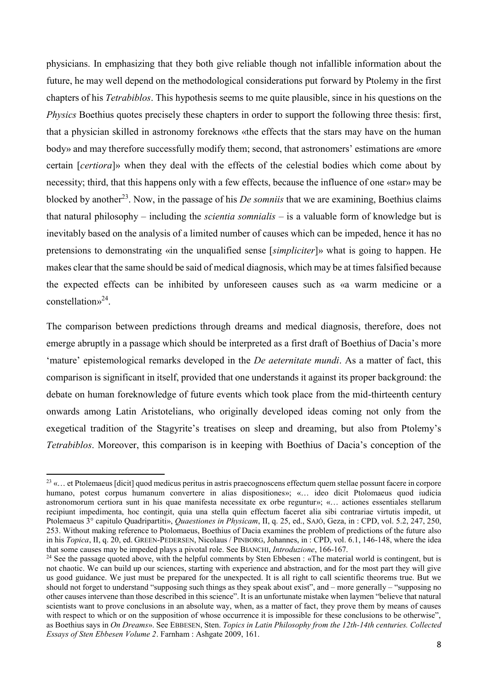physicians. In emphasizing that they both give reliable though not infallible information about the future, he may well depend on the methodological considerations put forward by Ptolemy in the first chapters of his *Tetrabiblos*. This hypothesis seems to me quite plausible, since in his questions on the *Physics* Boethius quotes precisely these chapters in order to support the following three thesis: first, that a physician skilled in astronomy foreknows «the effects that the stars may have on the human body» and may therefore successfully modify them; second, that astronomers' estimations are «more certain [*certiora*]» when they deal with the effects of the celestial bodies which come about by necessity; third, that this happens only with a few effects, because the influence of one «star» may be blocked by another<sup>23</sup>. Now, in the passage of his *De somniis* that we are examining, Boethius claims that natural philosophy – including the *scientia somnialis* – is a valuable form of knowledge but is inevitably based on the analysis of a limited number of causes which can be impeded, hence it has no pretensions to demonstrating «in the unqualified sense [*simpliciter*]» what is going to happen. He makes clear that the same should be said of medical diagnosis, which may be at times falsified because the expected effects can be inhibited by unforeseen causes such as «a warm medicine or a constellation» 24 .

The comparison between predictions through dreams and medical diagnosis, therefore, does not emerge abruptly in a passage which should be interpreted as a first draft of Boethius of Dacia's more 'mature' epistemological remarks developed in the *De aeternitate mundi*. As a matter of fact, this comparison is significant in itself, provided that one understands it against its proper background: the debate on human foreknowledge of future events which took place from the mid-thirteenth century onwards among Latin Aristotelians, who originally developed ideas coming not only from the exegetical tradition of the Stagyrite's treatises on sleep and dreaming, but also from Ptolemy's *Tetrabiblos*. Moreover, this comparison is in keeping with Boethius of Dacia's conception of the

<sup>&</sup>lt;sup>23</sup> «... et Ptolemaeus [dicit] quod medicus peritus in astris praecognoscens effectum quem stellae possunt facere in corpore humano, potest corpus humanum convertere in alias dispositiones»; «… ideo dicit Ptolomaeus quod iudicia astronomorum certiora sunt in his quae manifesta necessitate ex orbe reguntur»; «… actiones essentiales stellarum recipiunt impedimenta, hoc contingit, quia una stella quin effectum faceret alia sibi contrariae virtutis impedit, ut Ptolemaeus 3° capitulo Quadripartiti», *Quaestiones in Physicam*, II, q. 25, ed., SAJÓ, Geza, in : CPD, vol. 5.2, 247, 250, 253. Without making reference to Ptolomaeus, Boethius of Dacia examines the problem of predictions of the future also in his *Topica*, II, q. 20, ed. GREEN-PEDERSEN, Nicolaus / PINBORG, Johannes, in : CPD, vol. 6.1, 146-148, where the idea that some causes may be impeded plays a pivotal role. See BIANCHI, *Introduzione*, 166-167.

<sup>&</sup>lt;sup>24</sup> See the passage quoted above, with the helpful comments by Sten Ebbesen : «The material world is contingent, but is not chaotic. We can build up our sciences, starting with experience and abstraction, and for the most part they will give us good guidance. We just must be prepared for the unexpected. It is all right to call scientific theorems true. But we should not forget to understand "supposing such things as they speak about exist", and – more generally – "supposing no other causes intervene than those described in this science". It is an unfortunate mistake when laymen "believe that natural scientists want to prove conclusions in an absolute way, when, as a matter of fact, they prove them by means of causes with respect to which or on the supposition of whose occurrence it is impossible for these conclusions to be otherwise", as Boethius says in *On Dreams*». See EBBESEN, Sten. *Topics in Latin Philosophy from the 12th-14th centuries. Collected Essays of Sten Ebbesen Volume 2*. Farnham : Ashgate 2009, 161.